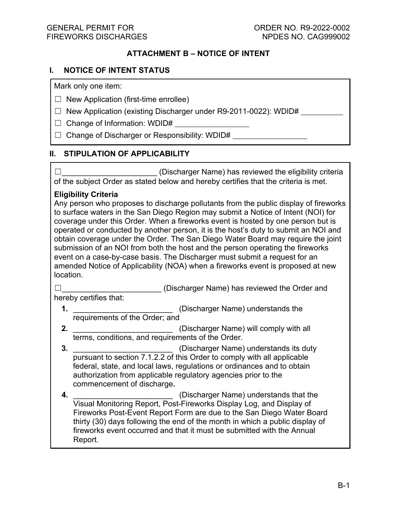# **ATTACHMENT B – NOTICE OF INTENT**

## **I. NOTICE OF INTENT STATUS**

Mark only one item:

- $\Box$  New Application (first-time enrollee)
- $\Box$  New Application (existing Discharger under R9-2011-0022): WDID#
- $\Box$  Change of Information: WDID#
- □ Change of Discharger or Responsibility: WDID#

# **II. STIPULATION OF APPLICABILITY**

☐\_\_\_\_\_\_\_\_\_\_\_\_\_\_\_\_\_\_\_\_\_\_ (Discharger Name) has reviewed the eligibility criteria of the subject Order as stated below and hereby certifies that the criteria is met.

## **Eligibility Criteria**

Any person who proposes to discharge pollutants from the public display of fireworks to surface waters in the San Diego Region may submit a Notice of Intent (NOI) for coverage under this Order. When a fireworks event is hosted by one person but is operated or conducted by another person, it is the host's duty to submit an NOI and obtain coverage under the Order. The San Diego Water Board may require the joint submission of an NOI from both the host and the person operating the fireworks event on a case-by-case basis. The Discharger must submit a request for an amended Notice of Applicability (NOA) when a fireworks event is proposed at new location.

☐\_\_\_\_\_\_\_\_\_\_\_\_\_\_\_\_\_\_\_\_\_\_\_ (Discharger Name) has reviewed the Order and hereby certifies that:

**1.** \_\_\_\_\_\_\_\_\_\_\_\_\_\_\_\_\_\_\_\_\_\_\_ (Discharger Name) understands the requirements of the Order; and

- **2.** \_\_\_\_\_\_\_\_\_\_\_\_\_\_\_\_\_\_\_\_\_\_\_ (Discharger Name) will comply with all terms, conditions, and requirements of the Order.
- **3.** \_\_\_\_\_\_\_\_\_\_\_\_\_\_\_\_\_\_\_\_\_\_\_ (Discharger Name) understands its duty pursuant to section 7.1.2.2 of this Order to comply with all applicable federal, state, and local laws, regulations or ordinances and to obtain authorization from applicable regulatory agencies prior to the commencement of discharge**.**
- **4.** \_\_\_\_\_\_\_\_\_\_\_\_\_\_\_\_\_\_\_\_\_\_\_ (Discharger Name) understands that the Visual Monitoring Report, Post-Fireworks Display Log, and Display of Fireworks Post-Event Report Form are due to the San Diego Water Board thirty (30) days following the end of the month in which a public display of fireworks event occurred and that it must be submitted with the Annual Report.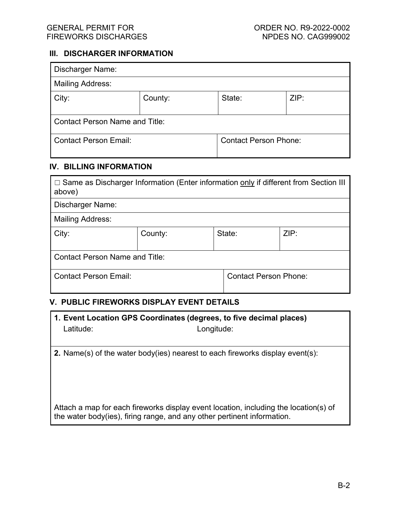#### **III. DISCHARGER INFORMATION**

| <b>Discharger Name:</b>               |         |                              |      |  |
|---------------------------------------|---------|------------------------------|------|--|
| <b>Mailing Address:</b>               |         |                              |      |  |
| City:                                 | County: | State:                       | ZIP: |  |
| <b>Contact Person Name and Title:</b> |         |                              |      |  |
| <b>Contact Person Email:</b>          |         | <b>Contact Person Phone:</b> |      |  |

## **IV. BILLING INFORMATION**

| $\Box$ Same as Discharger Information (Enter information only if different from Section III<br>above) |         |        |                              |  |
|-------------------------------------------------------------------------------------------------------|---------|--------|------------------------------|--|
| Discharger Name:                                                                                      |         |        |                              |  |
| <b>Mailing Address:</b>                                                                               |         |        |                              |  |
| City:                                                                                                 | County: | State: | ZIP:                         |  |
| <b>Contact Person Name and Title:</b>                                                                 |         |        |                              |  |
| <b>Contact Person Email:</b>                                                                          |         |        | <b>Contact Person Phone:</b> |  |

## **V. PUBLIC FIREWORKS DISPLAY EVENT DETAILS**

|           | 1. Event Location GPS Coordinates (degrees, to five decimal places) |
|-----------|---------------------------------------------------------------------|
| Latitude: | Longitude:                                                          |

**2.** Name(s) of the water body(ies) nearest to each fireworks display event(s):

Attach a map for each fireworks display event location, including the location(s) of the water body(ies), firing range, and any other pertinent information.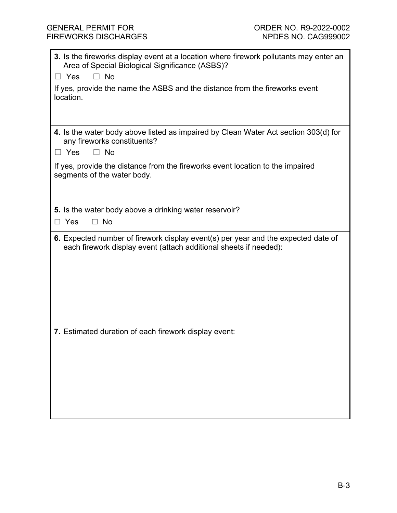| 3. Is the fireworks display event at a location where firework pollutants may enter an<br>Area of Special Biological Significance (ASBS)?              |  |  |  |  |
|--------------------------------------------------------------------------------------------------------------------------------------------------------|--|--|--|--|
| $\Box$ No<br>$\Box$ Yes                                                                                                                                |  |  |  |  |
| If yes, provide the name the ASBS and the distance from the fireworks event<br>location.                                                               |  |  |  |  |
|                                                                                                                                                        |  |  |  |  |
| 4. Is the water body above listed as impaired by Clean Water Act section 303(d) for<br>any fireworks constituents?<br>$\Box$ No<br>□ Yes               |  |  |  |  |
| If yes, provide the distance from the fireworks event location to the impaired<br>segments of the water body.                                          |  |  |  |  |
| 5. Is the water body above a drinking water reservoir?                                                                                                 |  |  |  |  |
| $\Box$ No<br>$\Box$ Yes                                                                                                                                |  |  |  |  |
| 6. Expected number of firework display event(s) per year and the expected date of<br>each firework display event (attach additional sheets if needed): |  |  |  |  |
| 7. Estimated duration of each firework display event:                                                                                                  |  |  |  |  |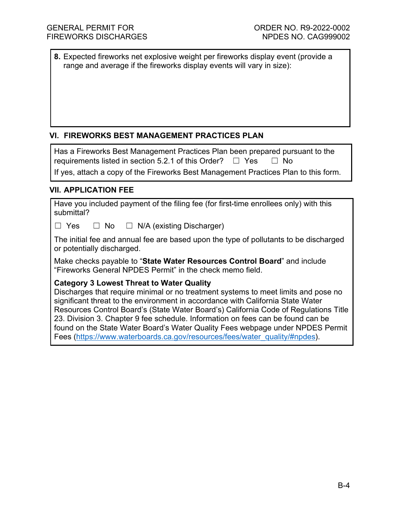**8.** Expected fireworks net explosive weight per fireworks display event (provide a range and average if the fireworks display events will vary in size):

# **VI. FIREWORKS BEST MANAGEMENT PRACTICES PLAN**

| Has a Fireworks Best Management Practices Plan been prepared pursuant to the        |
|-------------------------------------------------------------------------------------|
| requirements listed in section 5.2.1 of this Order? $\Box$ Yes $\Box$ No            |
| If yes, attach a copy of the Fireworks Best Management Practices Plan to this form. |

# **VII. APPLICATION FEE**

| Have you included payment of the filing fee (for first-time enrollees only) with this |  |
|---------------------------------------------------------------------------------------|--|
| submittal?                                                                            |  |

☐ Yes ☐ No ☐ N/A (existing Discharger)

The initial fee and annual fee are based upon the type of pollutants to be discharged or potentially discharged.

Make checks payable to "**State Water Resources Control Board**" and include "Fireworks General NPDES Permit" in the check memo field.

## **Category 3 Lowest Threat to Water Quality**

Discharges that require minimal or no treatment systems to meet limits and pose no significant threat to the environment in accordance with California State Water Resources Control Board's (State Water Board's) California Code of Regulations Title 23. Division 3. Chapter 9 fee schedule. Information on fees can be found can be found on the State Water Board's Water Quality Fees webpage under NPDES Permit Fees ([https://www.waterboards.ca.gov/resources/fees/water\\_quality/#npdes](https://www.waterboards.ca.gov/resources/fees/water_quality/#npdes)).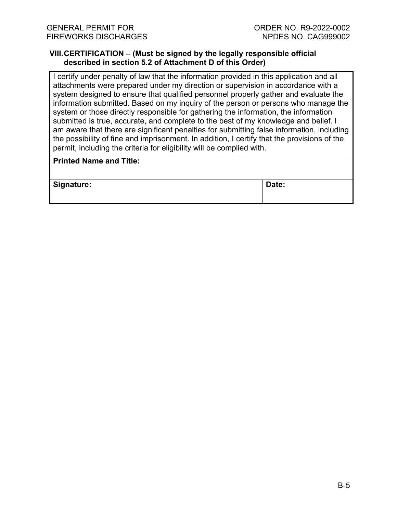#### **VIII.CERTIFICATION – (Must be signed by the legally responsible official described in section 5.2 of Attachment D of this Order)**

I certify under penalty of law that the information provided in this application and all attachments were prepared under my direction or supervision in accordance with a system designed to ensure that qualified personnel properly gather and evaluate the information submitted. Based on my inquiry of the person or persons who manage the system or those directly responsible for gathering the information, the information submitted is true, accurate, and complete to the best of my knowledge and belief. I am aware that there are significant penalties for submitting false information, including the possibility of fine and imprisonment. In addition, I certify that the provisions of the permit, including the criteria for eligibility will be complied with.

# **Printed Name and Title:**

**Signature: Date:**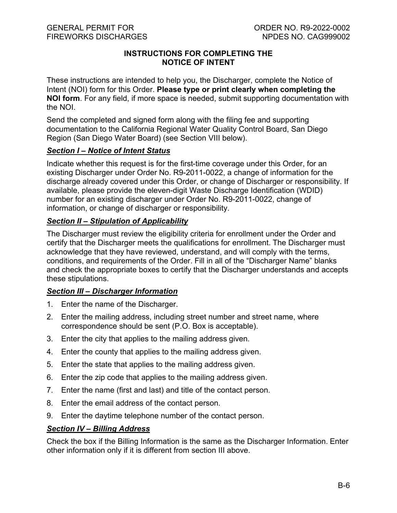# **INSTRUCTIONS FOR COMPLETING THE NOTICE OF INTENT**

These instructions are intended to help you, the Discharger, complete the Notice of Intent (NOI) form for this Order. **Please type or print clearly when completing the NOI form**. For any field, if more space is needed, submit supporting documentation with the NOI.

Send the completed and signed form along with the filing fee and supporting documentation to the California Regional Water Quality Control Board, San Diego Region (San Diego Water Board) (see Section VIII below).

## *Section I – Notice of Intent Status*

Indicate whether this request is for the first-time coverage under this Order, for an existing Discharger under Order No. R9-2011-0022, a change of information for the discharge already covered under this Order, or change of Discharger or responsibility. If available, please provide the eleven-digit Waste Discharge Identification (WDID) number for an existing discharger under Order No. R9-2011-0022, change of information, or change of discharger or responsibility.

# *Section II – Stipulation of Applicability*

The Discharger must review the eligibility criteria for enrollment under the Order and certify that the Discharger meets the qualifications for enrollment. The Discharger must acknowledge that they have reviewed, understand, and will comply with the terms, conditions, and requirements of the Order. Fill in all of the "Discharger Name" blanks and check the appropriate boxes to certify that the Discharger understands and accepts these stipulations.

# *Section III – Discharger Information*

- 1. Enter the name of the Discharger.
- 2. Enter the mailing address, including street number and street name, where correspondence should be sent (P.O. Box is acceptable).
- 3. Enter the city that applies to the mailing address given.
- 4. Enter the county that applies to the mailing address given.
- 5. Enter the state that applies to the mailing address given.
- 6. Enter the zip code that applies to the mailing address given.
- 7. Enter the name (first and last) and title of the contact person.
- 8. Enter the email address of the contact person.
- 9. Enter the daytime telephone number of the contact person.

# *Section IV – Billing Address*

Check the box if the Billing Information is the same as the Discharger Information. Enter other information only if it is different from section III above.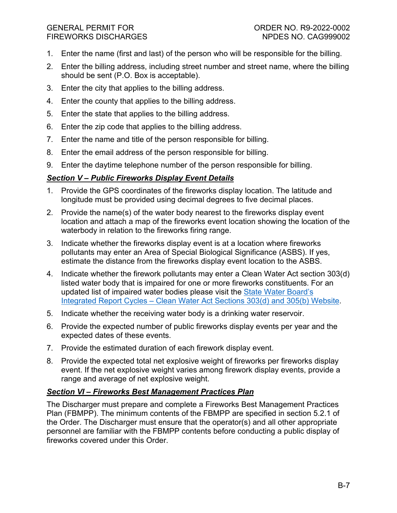## GENERAL PERMIT FOR ORDER NO. R9-2022-0002 FIREWORKS DISCHARGES NO. 2009 NPDES NO. CAG999002

- 1. Enter the name (first and last) of the person who will be responsible for the billing.
- 2. Enter the billing address, including street number and street name, where the billing should be sent (P.O. Box is acceptable).
- 3. Enter the city that applies to the billing address.
- 4. Enter the county that applies to the billing address.
- 5. Enter the state that applies to the billing address.
- 6. Enter the zip code that applies to the billing address.
- 7. Enter the name and title of the person responsible for billing.
- 8. Enter the email address of the person responsible for billing.
- 9. Enter the daytime telephone number of the person responsible for billing.

# *Section V – Public Fireworks Display Event Details*

- 1. Provide the GPS coordinates of the fireworks display location. The latitude and longitude must be provided using decimal degrees to five decimal places.
- 2. Provide the name(s) of the water body nearest to the fireworks display event location and attach a map of the fireworks event location showing the location of the waterbody in relation to the fireworks firing range.
- 3. Indicate whether the fireworks display event is at a location where fireworks pollutants may enter an Area of Special Biological Significance (ASBS). If yes, estimate the distance from the fireworks display event location to the ASBS.
- 4. Indicate whether the firework pollutants may enter a Clean Water Act section 303(d) listed water body that is impaired for one or more fireworks constituents. For an updated list of impaired water bodies please visit the [State Water Board's](https://www.waterboards.ca.gov/water_issues/programs/water_quality_assessment/integrated_report_cycles.html)  Integrated Report Cycles – [Clean Water Act Sections 303\(d\) and 305\(b\) Website](https://www.waterboards.ca.gov/water_issues/programs/water_quality_assessment/integrated_report_cycles.html).
- 5. Indicate whether the receiving water body is a drinking water reservoir.
- 6. Provide the expected number of public fireworks display events per year and the expected dates of these events.
- 7. Provide the estimated duration of each firework display event.
- 8. Provide the expected total net explosive weight of fireworks per fireworks display event. If the net explosive weight varies among firework display events, provide a range and average of net explosive weight.

# *Section VI – Fireworks Best Management Practices Plan*

The Discharger must prepare and complete a Fireworks Best Management Practices Plan (FBMPP). The minimum contents of the FBMPP are specified in section 5.2.1 of the Order. The Discharger must ensure that the operator(s) and all other appropriate personnel are familiar with the FBMPP contents before conducting a public display of fireworks covered under this Order.